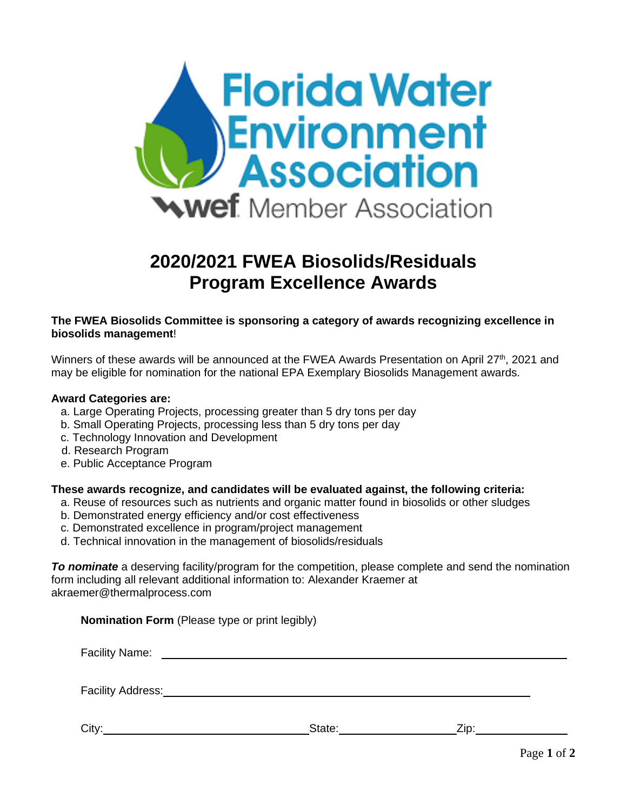

# **2020/2021 FWEA Biosolids/Residuals Program Excellence Awards**

## **The FWEA Biosolids Committee is sponsoring a category of awards recognizing excellence in biosolids management**!

Winners of these awards will be announced at the FWEA Awards Presentation on April 27<sup>th</sup>, 2021 and may be eligible for nomination for the national EPA Exemplary Biosolids Management awards.

#### **Award Categories are:**

- a. Large Operating Projects, processing greater than 5 dry tons per day
- b. Small Operating Projects, processing less than 5 dry tons per day
- c. Technology Innovation and Development
- d. Research Program
- e. Public Acceptance Program

## **These awards recognize, and candidates will be evaluated against, the following criteria:**

- a. Reuse of resources such as nutrients and organic matter found in biosolids or other sludges
- b. Demonstrated energy efficiency and/or cost effectiveness
- c. Demonstrated excellence in program/project management
- d. Technical innovation in the management of biosolids/residuals

*To nominate* a deserving facility/program for the competition, please complete and send the nomination form including all relevant additional information to: Alexander Kraemer at akraemer@thermalprocess.com

**Nomination Form** (Please type or print legibly)

| <b>Facility Name:</b> |        |      |  |
|-----------------------|--------|------|--|
| Facility Address:     |        |      |  |
| City                  | State: | Zip: |  |